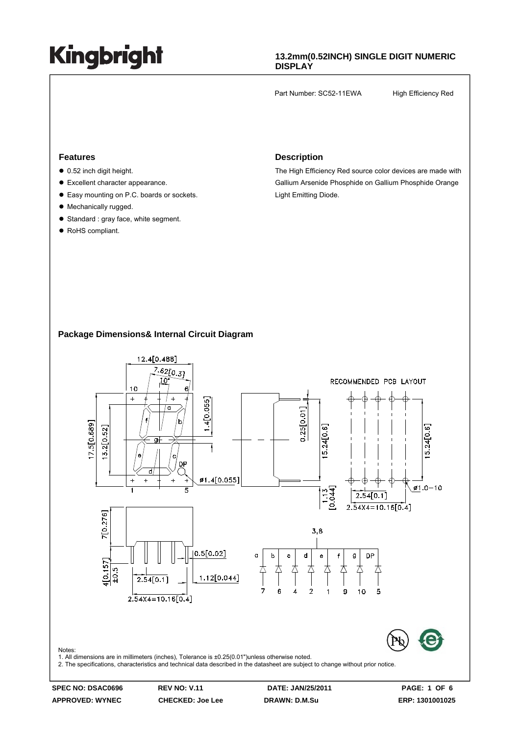### **13.2mm(0.52INCH) SINGLE DIGIT NUMERIC DISPLAY**

Part Number: SC52-11EWA High Efficiency Red

#### **Features**

- $\bullet$  0.52 inch digit height.
- Excellent character appearance.
- Easy mounting on P.C. boards or sockets.
- Mechanically rugged.
- Standard : gray face, white segment.
- RoHS compliant.

#### **Description**

The High Efficiency Red source color devices are made with Gallium Arsenide Phosphide on Gallium Phosphide Orange Light Emitting Diode.

### **Package Dimensions& Internal Circuit Diagram**



**APPROVED: WYNEC CHECKED: Joe Lee DRAWN: D.M.Su ERP: 1301001025**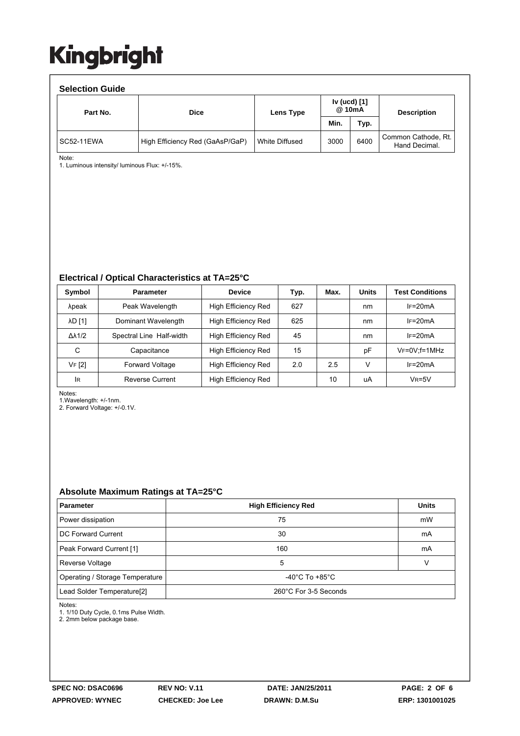| <b>Selection Guide</b> |                                 |                |                        |      |                                      |  |  |  |  |
|------------------------|---------------------------------|----------------|------------------------|------|--------------------------------------|--|--|--|--|
| Part No.               | <b>Dice</b>                     | Lens Type      | Iv (ucd) [1]<br>@ 10mA |      | <b>Description</b>                   |  |  |  |  |
|                        |                                 |                | Min.                   | Typ. |                                      |  |  |  |  |
| SC52-11EWA             | High Efficiency Red (GaAsP/GaP) | White Diffused | 3000                   | 6400 | Common Cathode, Rt.<br>Hand Decimal. |  |  |  |  |

Note:

1. Luminous intensity/ luminous Flux: +/-15%.

#### **Electrical / Optical Characteristics at TA=25°C**

| Symbol              | <b>Parameter</b>         | <b>Device</b>       | Typ. | Max. | <b>Units</b> | <b>Test Conditions</b> |
|---------------------|--------------------------|---------------------|------|------|--------------|------------------------|
| λpeak               | Peak Wavelength          | High Efficiency Red | 627  |      | nm           | $IF=20mA$              |
| <b>AD [1]</b>       | Dominant Wavelength      | High Efficiency Red | 625  |      | nm           | $IF=20mA$              |
| $\Delta\lambda$ 1/2 | Spectral Line Half-width | High Efficiency Red | 45   |      | nm           | $IF=20mA$              |
| С                   | Capacitance              | High Efficiency Red | 15   |      | рF           | $V_F = 0V$ : f = 1 MHz |
| VF [2]              | <b>Forward Voltage</b>   | High Efficiency Red | 2.0  | 2.5  | v            | $IF=20mA$              |
| <b>IR</b>           | <b>Reverse Current</b>   | High Efficiency Red |      | 10   | uA           | $VR=5V$                |

Notes:

1.Wavelength: +/-1nm.

2. Forward Voltage: +/-0.1V.

#### **Absolute Maximum Ratings at TA=25°C**

| <b>Parameter</b>                                                | <b>High Efficiency Red</b> | <b>Units</b> |  |
|-----------------------------------------------------------------|----------------------------|--------------|--|
| Power dissipation                                               | 75                         | mW           |  |
| DC Forward Current                                              | 30                         | mA           |  |
| Peak Forward Current [1]                                        | 160                        | mA           |  |
| Reverse Voltage                                                 | 5                          |              |  |
| Operating / Storage Temperature                                 | -40°C To +85°C             |              |  |
| Lead Solder Temperature <sup>[2]</sup><br>260°C For 3-5 Seconds |                            |              |  |

Notes:

1. 1/10 Duty Cycle, 0.1ms Pulse Width.

2. 2mm below package base.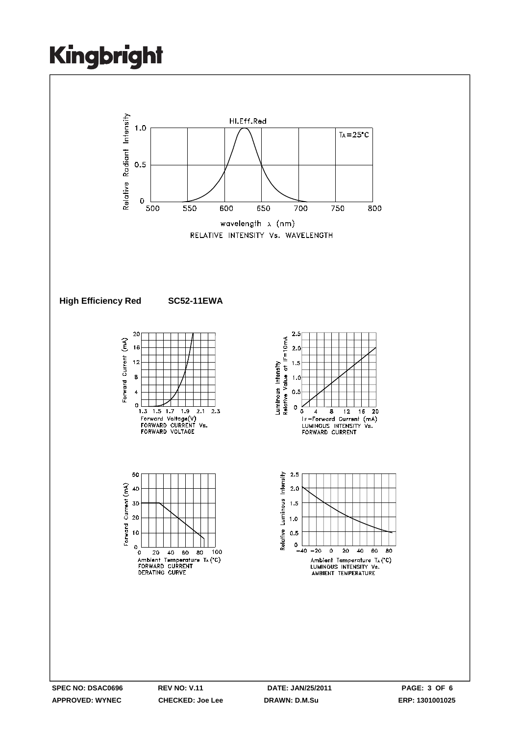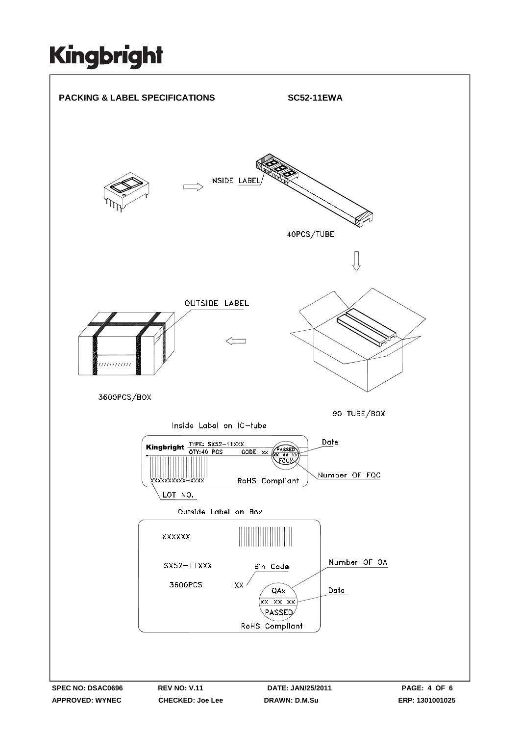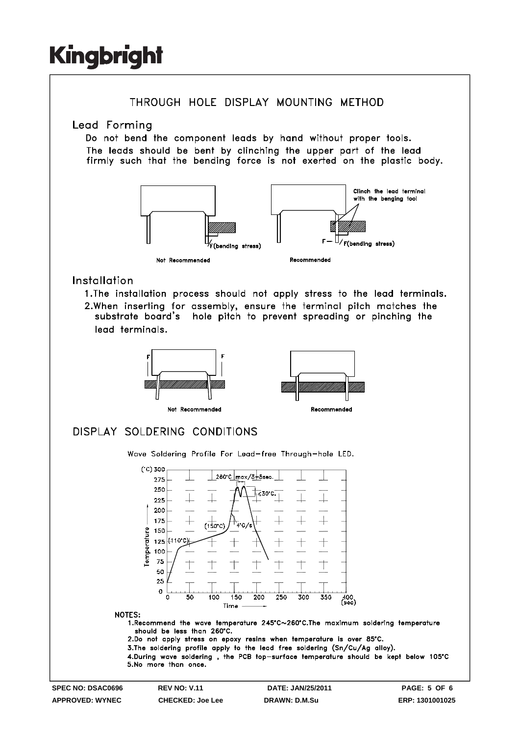